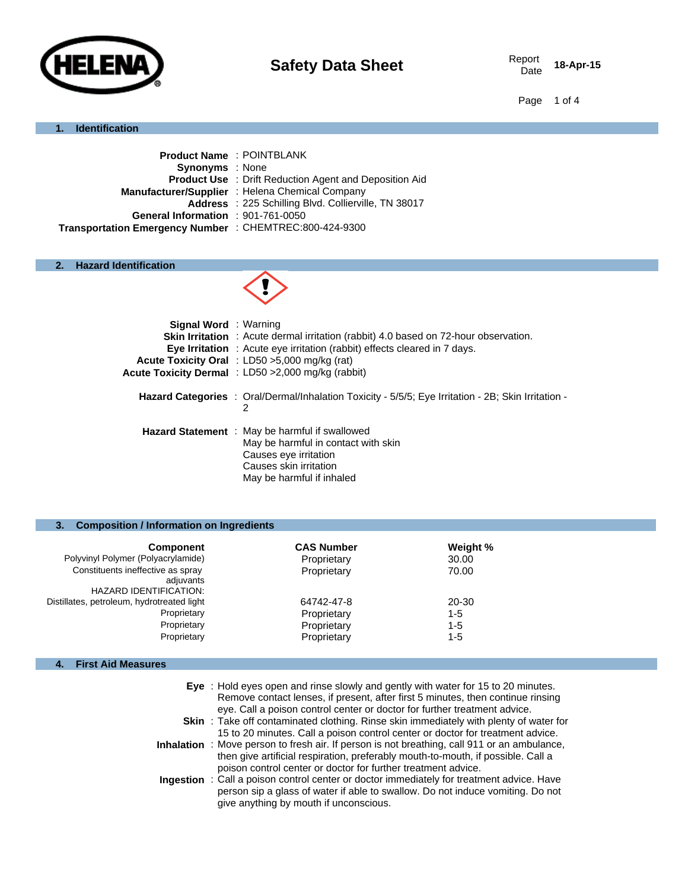

18-Apr-15

Page 1 of 4

#### **1. Identification**

| <b>Product Name: POINTBLANK</b>                               |
|---------------------------------------------------------------|
| <b>Synonyms</b> : None                                        |
| <b>Product Use : Drift Reduction Agent and Deposition Aid</b> |
| Manufacturer/Supplier : Helena Chemical Company               |
| Address : 225 Schilling Blvd. Collierville, TN 38017          |
| General Information : 901-761-0050                            |
| Transportation Emergency Number : CHEMTREC:800-424-9300       |
|                                                               |

#### **2. Hazard Identification**



| <b>Signal Word</b> : Warning                                                                               |
|------------------------------------------------------------------------------------------------------------|
| <b>Skin Irritation</b> : Acute dermal irritation (rabbit) 4.0 based on 72-hour observation.                |
| <b>Eye Irritation</b> : Acute eye irritation (rabbit) effects cleared in 7 days.                           |
| <b>Acute Toxicity Oral</b> : LD50 $>5,000$ mg/kg (rat)                                                     |
| Acute Toxicity Dermal : LD50 > 2,000 mg/kg (rabbit)                                                        |
|                                                                                                            |
| <b>Hazard Categories</b> : Oral/Dermal/Inhalation Toxicity - 5/5/5; Eye Irritation - 2B; Skin Irritation - |
| 2                                                                                                          |
|                                                                                                            |
| <b>Hazard Statement</b> : May be harmful if swallowed                                                      |
| May be harmful in contact with skin                                                                        |
| Causes eye irritation                                                                                      |
| Causes skin irritation                                                                                     |
| May be harmful if inhaled                                                                                  |
|                                                                                                            |

#### **3. Composition / Information on Ingredients**

| <b>Component</b>                                                                | <b>CAS Number</b> | Weight % |
|---------------------------------------------------------------------------------|-------------------|----------|
| Polyvinyl Polymer (Polyacrylamide)                                              | Proprietary       | 30.00    |
| Constituents ineffective as spray<br>adjuvants<br><b>HAZARD IDENTIFICATION:</b> | Proprietary       | 70.00    |
| Distillates, petroleum, hydrotreated light                                      | 64742-47-8        | 20-30    |
| Proprietary                                                                     | Proprietary       | $1 - 5$  |
| Proprietary                                                                     | Proprietary       | $1 - 5$  |
| Proprietary                                                                     | Proprietary       | $1 - 5$  |

### **4. First Aid Measures**

| Eye: Hold eyes open and rinse slowly and gently with water for 15 to 20 minutes. |
|----------------------------------------------------------------------------------|
| Remove contact lenses, if present, after first 5 minutes, then continue rinsing  |
| eye. Call a poison control center or doctor for further treatment advice.        |
|                                                                                  |

- **Skin** : Take off contaminated clothing. Rinse skin immediately with plenty of water for 15 to 20 minutes. Call a poison control center or doctor for treatment advice.
- **Inhalation** : Move person to fresh air. If person is not breathing, call 911 or an ambulance, then give artificial respiration, preferably mouth-to-mouth, if possible. Call a poison control center or doctor for further treatment advice.
- **Ingestion** : Call a poison control center or doctor immediately for treatment advice. Have person sip a glass of water if able to swallow. Do not induce vomiting. Do not give anything by mouth if unconscious.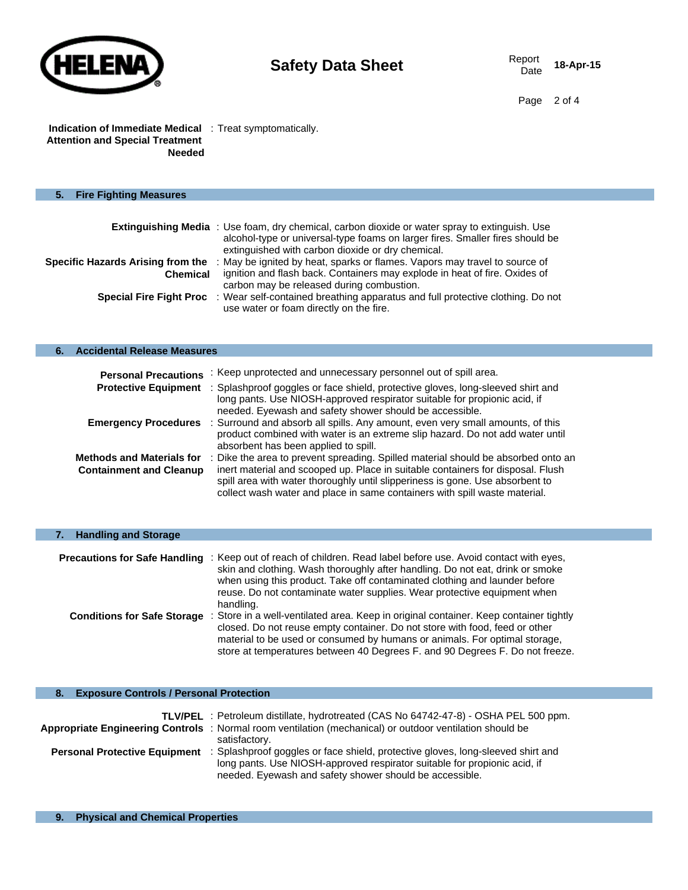

#### **Indication of Immediate Medical**  : Treat symptomatically. **Attention and Special Treatment Needed**

| 6. | <b>Accidental Release Measures</b>                                 |                                                                                                                                                                                                                                                                                                                                   |
|----|--------------------------------------------------------------------|-----------------------------------------------------------------------------------------------------------------------------------------------------------------------------------------------------------------------------------------------------------------------------------------------------------------------------------|
|    | <b>Personal Precautions</b>                                        | : Keep unprotected and unnecessary personnel out of spill area.                                                                                                                                                                                                                                                                   |
|    | <b>Protective Equipment</b>                                        | : Splashproof goggles or face shield, protective gloves, long-sleeved shirt and<br>long pants. Use NIOSH-approved respirator suitable for propionic acid, if<br>needed. Eyewash and safety shower should be accessible.                                                                                                           |
|    | <b>Emergency Procedures</b>                                        | : Surround and absorb all spills. Any amount, even very small amounts, of this<br>product combined with water is an extreme slip hazard. Do not add water until<br>absorbent has been applied to spill.                                                                                                                           |
|    | <b>Methods and Materials for</b><br><b>Containment and Cleanup</b> | Dike the area to prevent spreading. Spilled material should be absorbed onto an<br>inert material and scooped up. Place in suitable containers for disposal. Flush<br>spill area with water thoroughly until slipperiness is gone. Use absorbent to<br>collect wash water and place in same containers with spill waste material. |

| <b>Handling and Storage</b>          |                                                                                                                                                                                                                                                                                                                                          |
|--------------------------------------|------------------------------------------------------------------------------------------------------------------------------------------------------------------------------------------------------------------------------------------------------------------------------------------------------------------------------------------|
|                                      |                                                                                                                                                                                                                                                                                                                                          |
| <b>Precautions for Safe Handling</b> | : Keep out of reach of children. Read label before use. Avoid contact with eyes,<br>skin and clothing. Wash thoroughly after handling. Do not eat, drink or smoke<br>when using this product. Take off contaminated clothing and launder before<br>reuse. Do not contaminate water supplies. Wear protective equipment when<br>handling. |
| <b>Conditions for Safe Storage</b>   | : Store in a well-ventilated area. Keep in original container. Keep container tightly<br>closed. Do not reuse empty container. Do not store with food, feed or other<br>material to be used or consumed by humans or animals. For optimal storage,<br>store at temperatures between 40 Degrees F. and 90 Degrees F. Do not freeze.       |

| <b>Exposure Controls / Personal Protection</b><br>8. |                                                                                                                                                                                                                                                              |
|------------------------------------------------------|--------------------------------------------------------------------------------------------------------------------------------------------------------------------------------------------------------------------------------------------------------------|
|                                                      |                                                                                                                                                                                                                                                              |
|                                                      | TLV/PEL : Petroleum distillate, hydrotreated (CAS No 64742-47-8) - OSHA PEL 500 ppm.                                                                                                                                                                         |
|                                                      | Appropriate Engineering Controls : Normal room ventilation (mechanical) or outdoor ventilation should be<br>satisfactory.                                                                                                                                    |
|                                                      | <b>Personal Protective Equipment</b> : Splashproof goggles or face shield, protective gloves, long-sleeved shirt and<br>long pants. Use NIOSH-approved respirator suitable for propionic acid, if<br>needed. Eyewash and safety shower should be accessible. |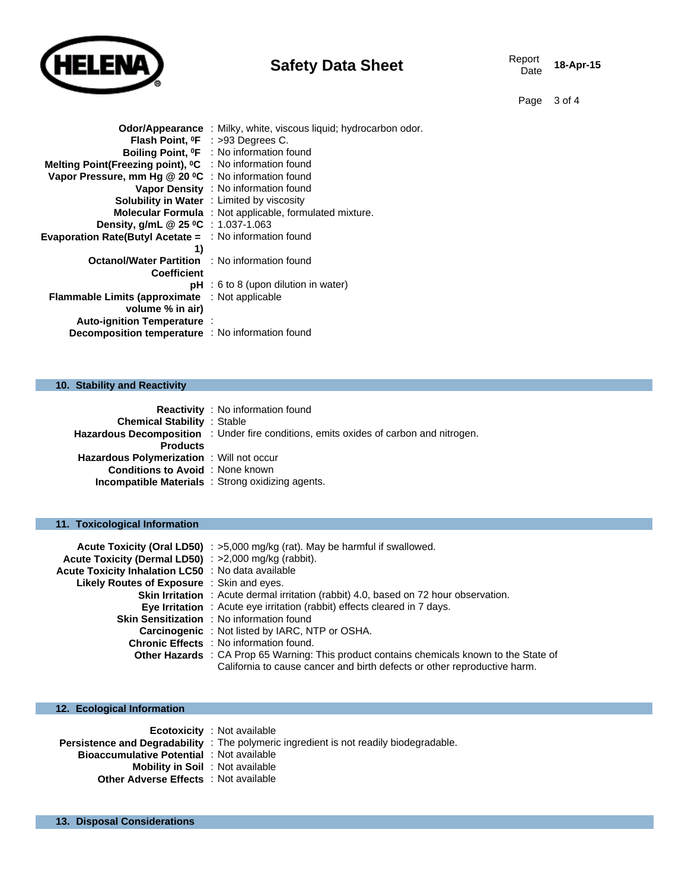

| <b>Safety Data Sheet</b> | Report<br>Date |
|--------------------------|----------------|
|                          |                |

Report **18-Apr-15** 

Page 3 of 4

|                                                                      | <b>Odor/Appearance</b> : Milky, white, viscous liquid; hydrocarbon odor. |
|----------------------------------------------------------------------|--------------------------------------------------------------------------|
|                                                                      | Flash Point, <sup>o</sup> F : >93 Degrees C.                             |
|                                                                      | Boiling Point, <sup>o</sup> F : No information found                     |
| Melting Point(Freezing point), <sup>o</sup> C : No information found |                                                                          |
| Vapor Pressure, mm Hg @ 20 °C : No information found                 |                                                                          |
|                                                                      | Vapor Density : No information found                                     |
|                                                                      | Solubility in Water : Limited by viscosity                               |
|                                                                      | <b>Molecular Formula</b> : Not applicable, formulated mixture.           |
| Density, g/mL @ 25 °C : 1.037-1.063                                  |                                                                          |
| <b>Evaporation Rate(Butyl Acetate = : No information found</b>       |                                                                          |
| 1)                                                                   |                                                                          |
| <b>Octanol/Water Partition : No information found</b>                |                                                                          |
| <b>Coefficient</b>                                                   |                                                                          |
|                                                                      | $pH : 6$ to 8 (upon dilution in water)                                   |
| <b>Flammable Limits (approximate</b> : Not applicable                |                                                                          |
| volume % in air)                                                     |                                                                          |
| Auto-ignition Temperature:                                           |                                                                          |
| Decomposition temperature : No information found                     |                                                                          |
|                                                                      |                                                                          |

# **10. Stability and Reactivity**

|                                          | <b>Reactivity</b> : No information found                                                     |
|------------------------------------------|----------------------------------------------------------------------------------------------|
| <b>Chemical Stability : Stable</b>       |                                                                                              |
|                                          | <b>Hazardous Decomposition</b> : Under fire conditions, emits oxides of carbon and nitrogen. |
| <b>Products</b>                          |                                                                                              |
| Hazardous Polymerization: Will not occur |                                                                                              |
| <b>Conditions to Avoid</b> : None known  |                                                                                              |
|                                          | <b>Incompatible Materials</b> : Strong oxidizing agents.                                     |

# **11. Toxicological Information**

|                                                           | Acute Toxicity (Oral LD50) : >5,000 mg/kg (rat). May be harmful if swallowed.                    |
|-----------------------------------------------------------|--------------------------------------------------------------------------------------------------|
| Acute Toxicity (Dermal LD50) : >2,000 mg/kg (rabbit).     |                                                                                                  |
| <b>Acute Toxicity Inhalation LC50</b> : No data available |                                                                                                  |
| Likely Routes of Exposure : Skin and eyes.                |                                                                                                  |
|                                                           | <b>Skin Irritation</b> : Acute dermal irritation (rabbit) 4.0, based on 72 hour observation.     |
|                                                           | <b>Eye Irritation</b> : Acute eye irritation (rabbit) effects cleared in 7 days.                 |
|                                                           | <b>Skin Sensitization</b> : No information found                                                 |
|                                                           | <b>Carcinogenic</b> : Not listed by IARC, NTP or OSHA.                                           |
|                                                           | <b>Chronic Effects</b> : No information found.                                                   |
|                                                           | <b>Other Hazards</b> : CA Prop 65 Warning: This product contains chemicals known to the State of |
|                                                           | California to cause cancer and birth defects or other reproductive harm.                         |

| 12. Ecological Information                                                                                                                  |                                                                                                                              |
|---------------------------------------------------------------------------------------------------------------------------------------------|------------------------------------------------------------------------------------------------------------------------------|
| <b>Bioaccumulative Potential : Not available</b><br><b>Mobility in Soil</b> : Not available<br><b>Other Adverse Effects</b> : Not available | <b>Ecotoxicity</b> : Not available<br>Persistence and Degradability : The polymeric ingredient is not readily biodegradable. |